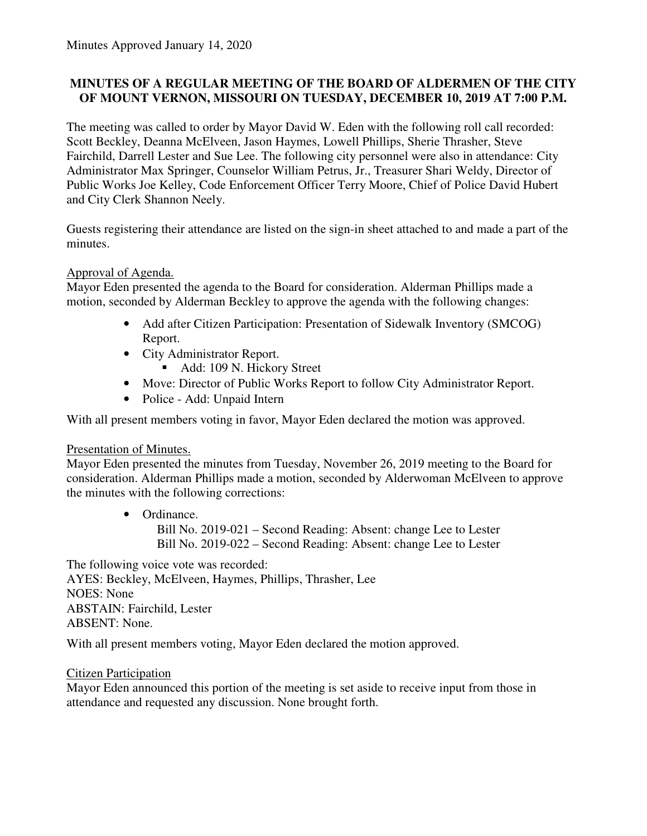# **MINUTES OF A REGULAR MEETING OF THE BOARD OF ALDERMEN OF THE CITY OF MOUNT VERNON, MISSOURI ON TUESDAY, DECEMBER 10, 2019 AT 7:00 P.M.**

The meeting was called to order by Mayor David W. Eden with the following roll call recorded: Scott Beckley, Deanna McElveen, Jason Haymes, Lowell Phillips, Sherie Thrasher, Steve Fairchild, Darrell Lester and Sue Lee. The following city personnel were also in attendance: City Administrator Max Springer, Counselor William Petrus, Jr., Treasurer Shari Weldy, Director of Public Works Joe Kelley, Code Enforcement Officer Terry Moore, Chief of Police David Hubert and City Clerk Shannon Neely.

Guests registering their attendance are listed on the sign-in sheet attached to and made a part of the minutes.

# Approval of Agenda.

Mayor Eden presented the agenda to the Board for consideration. Alderman Phillips made a motion, seconded by Alderman Beckley to approve the agenda with the following changes:

- Add after Citizen Participation: Presentation of Sidewalk Inventory (SMCOG) Report.
- City Administrator Report.
	- Add: 109 N. Hickory Street
- Move: Director of Public Works Report to follow City Administrator Report.
- Police Add: Unpaid Intern

With all present members voting in favor, Mayor Eden declared the motion was approved.

# **Presentation of Minutes.**

Mayor Eden presented the minutes from Tuesday, November 26, 2019 meeting to the Board for consideration. Alderman Phillips made a motion, seconded by Alderwoman McElveen to approve the minutes with the following corrections:

• Ordinance.

Bill No. 2019-021 – Second Reading: Absent: change Lee to Lester Bill No. 2019-022 – Second Reading: Absent: change Lee to Lester

The following voice vote was recorded: AYES: Beckley, McElveen, Haymes, Phillips, Thrasher, Lee NOES: None ABSTAIN: Fairchild, Lester ABSENT: None.

With all present members voting, Mayor Eden declared the motion approved.

# Citizen Participation

Mayor Eden announced this portion of the meeting is set aside to receive input from those in attendance and requested any discussion. None brought forth.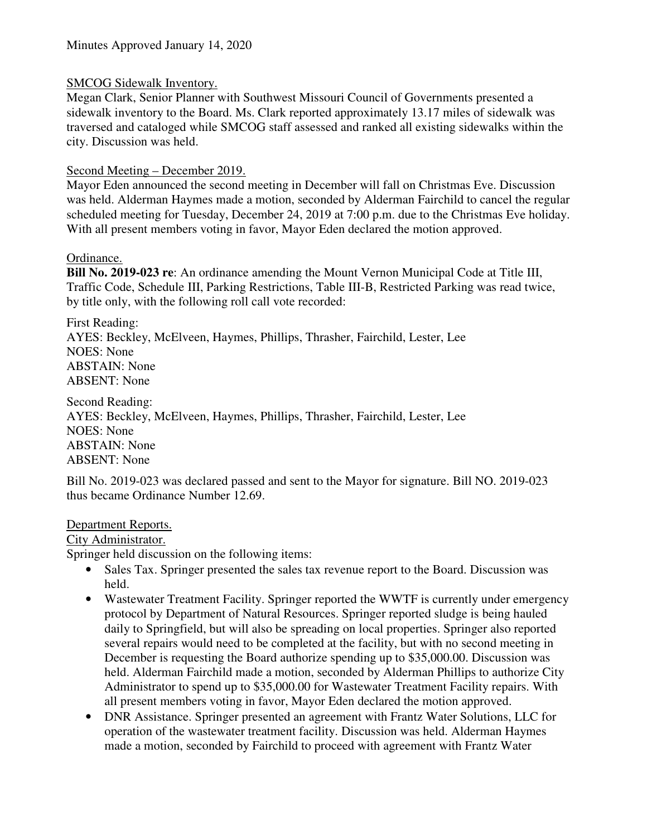# SMCOG Sidewalk Inventory.

Megan Clark, Senior Planner with Southwest Missouri Council of Governments presented a sidewalk inventory to the Board. Ms. Clark reported approximately 13.17 miles of sidewalk was traversed and cataloged while SMCOG staff assessed and ranked all existing sidewalks within the city. Discussion was held.

#### Second Meeting – December 2019.

Mayor Eden announced the second meeting in December will fall on Christmas Eve. Discussion was held. Alderman Haymes made a motion, seconded by Alderman Fairchild to cancel the regular scheduled meeting for Tuesday, December 24, 2019 at 7:00 p.m. due to the Christmas Eve holiday. With all present members voting in favor, Mayor Eden declared the motion approved.

#### Ordinance.

**Bill No. 2019-023 re**: An ordinance amending the Mount Vernon Municipal Code at Title III, Traffic Code, Schedule III, Parking Restrictions, Table III-B, Restricted Parking was read twice, by title only, with the following roll call vote recorded:

First Reading: AYES: Beckley, McElveen, Haymes, Phillips, Thrasher, Fairchild, Lester, Lee NOES: None ABSTAIN: None ABSENT: None

Second Reading: AYES: Beckley, McElveen, Haymes, Phillips, Thrasher, Fairchild, Lester, Lee NOES: None ABSTAIN: None ABSENT: None

Bill No. 2019-023 was declared passed and sent to the Mayor for signature. Bill NO. 2019-023 thus became Ordinance Number 12.69.

#### Department Reports.

City Administrator.

Springer held discussion on the following items:

- Sales Tax. Springer presented the sales tax revenue report to the Board. Discussion was held.
- Wastewater Treatment Facility. Springer reported the WWTF is currently under emergency protocol by Department of Natural Resources. Springer reported sludge is being hauled daily to Springfield, but will also be spreading on local properties. Springer also reported several repairs would need to be completed at the facility, but with no second meeting in December is requesting the Board authorize spending up to \$35,000.00. Discussion was held. Alderman Fairchild made a motion, seconded by Alderman Phillips to authorize City Administrator to spend up to \$35,000.00 for Wastewater Treatment Facility repairs. With all present members voting in favor, Mayor Eden declared the motion approved.
- DNR Assistance. Springer presented an agreement with Frantz Water Solutions, LLC for operation of the wastewater treatment facility. Discussion was held. Alderman Haymes made a motion, seconded by Fairchild to proceed with agreement with Frantz Water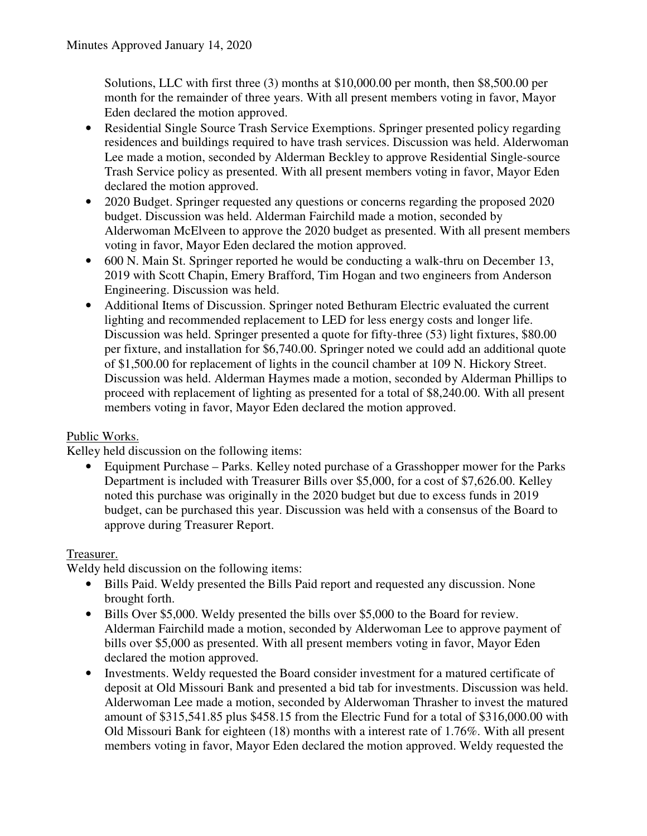Solutions, LLC with first three (3) months at \$10,000.00 per month, then \$8,500.00 per month for the remainder of three years. With all present members voting in favor, Mayor Eden declared the motion approved.

- Residential Single Source Trash Service Exemptions. Springer presented policy regarding residences and buildings required to have trash services. Discussion was held. Alderwoman Lee made a motion, seconded by Alderman Beckley to approve Residential Single-source Trash Service policy as presented. With all present members voting in favor, Mayor Eden declared the motion approved.
- 2020 Budget. Springer requested any questions or concerns regarding the proposed 2020 budget. Discussion was held. Alderman Fairchild made a motion, seconded by Alderwoman McElveen to approve the 2020 budget as presented. With all present members voting in favor, Mayor Eden declared the motion approved.
- 600 N. Main St. Springer reported he would be conducting a walk-thru on December 13, 2019 with Scott Chapin, Emery Brafford, Tim Hogan and two engineers from Anderson Engineering. Discussion was held.
- Additional Items of Discussion. Springer noted Bethuram Electric evaluated the current lighting and recommended replacement to LED for less energy costs and longer life. Discussion was held. Springer presented a quote for fifty-three (53) light fixtures, \$80.00 per fixture, and installation for \$6,740.00. Springer noted we could add an additional quote of \$1,500.00 for replacement of lights in the council chamber at 109 N. Hickory Street. Discussion was held. Alderman Haymes made a motion, seconded by Alderman Phillips to proceed with replacement of lighting as presented for a total of \$8,240.00. With all present members voting in favor, Mayor Eden declared the motion approved.

# Public Works.

Kelley held discussion on the following items:

• Equipment Purchase – Parks. Kelley noted purchase of a Grasshopper mower for the Parks Department is included with Treasurer Bills over \$5,000, for a cost of \$7,626.00. Kelley noted this purchase was originally in the 2020 budget but due to excess funds in 2019 budget, can be purchased this year. Discussion was held with a consensus of the Board to approve during Treasurer Report.

# Treasurer.

Weldy held discussion on the following items:

- Bills Paid. Weldy presented the Bills Paid report and requested any discussion. None brought forth.
- Bills Over \$5,000. Weldy presented the bills over \$5,000 to the Board for review. Alderman Fairchild made a motion, seconded by Alderwoman Lee to approve payment of bills over \$5,000 as presented. With all present members voting in favor, Mayor Eden declared the motion approved.
- Investments. Weldy requested the Board consider investment for a matured certificate of deposit at Old Missouri Bank and presented a bid tab for investments. Discussion was held. Alderwoman Lee made a motion, seconded by Alderwoman Thrasher to invest the matured amount of \$315,541.85 plus \$458.15 from the Electric Fund for a total of \$316,000.00 with Old Missouri Bank for eighteen (18) months with a interest rate of 1.76%. With all present members voting in favor, Mayor Eden declared the motion approved. Weldy requested the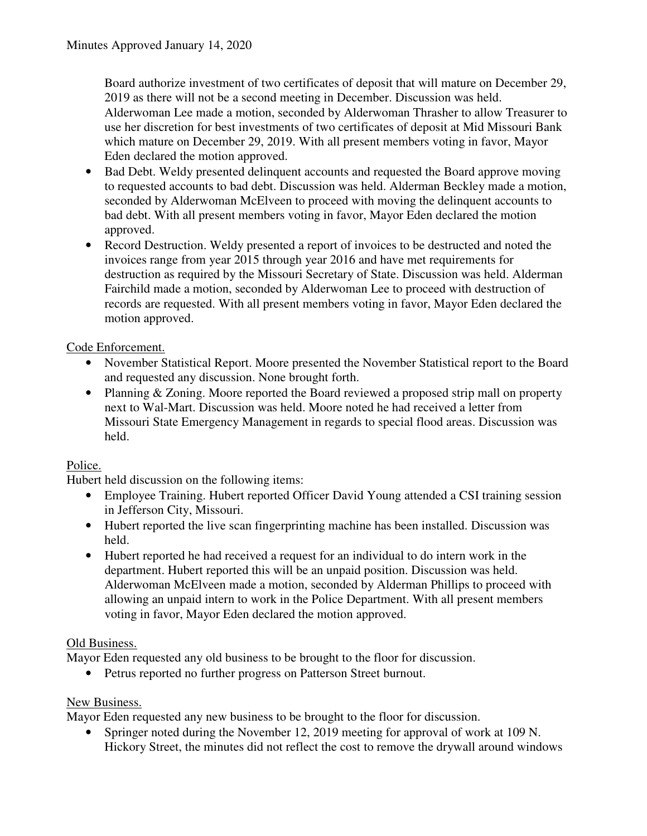Board authorize investment of two certificates of deposit that will mature on December 29, 2019 as there will not be a second meeting in December. Discussion was held. Alderwoman Lee made a motion, seconded by Alderwoman Thrasher to allow Treasurer to use her discretion for best investments of two certificates of deposit at Mid Missouri Bank which mature on December 29, 2019. With all present members voting in favor, Mayor Eden declared the motion approved.

- Bad Debt. Weldy presented delinquent accounts and requested the Board approve moving to requested accounts to bad debt. Discussion was held. Alderman Beckley made a motion, seconded by Alderwoman McElveen to proceed with moving the delinquent accounts to bad debt. With all present members voting in favor, Mayor Eden declared the motion approved.
- Record Destruction. Weldy presented a report of invoices to be destructed and noted the invoices range from year 2015 through year 2016 and have met requirements for destruction as required by the Missouri Secretary of State. Discussion was held. Alderman Fairchild made a motion, seconded by Alderwoman Lee to proceed with destruction of records are requested. With all present members voting in favor, Mayor Eden declared the motion approved.

# Code Enforcement.

- November Statistical Report. Moore presented the November Statistical report to the Board and requested any discussion. None brought forth.
- Planning & Zoning. Moore reported the Board reviewed a proposed strip mall on property next to Wal-Mart. Discussion was held. Moore noted he had received a letter from Missouri State Emergency Management in regards to special flood areas. Discussion was held.

# Police.

Hubert held discussion on the following items:

- Employee Training. Hubert reported Officer David Young attended a CSI training session in Jefferson City, Missouri.
- Hubert reported the live scan fingerprinting machine has been installed. Discussion was held.
- Hubert reported he had received a request for an individual to do intern work in the department. Hubert reported this will be an unpaid position. Discussion was held. Alderwoman McElveen made a motion, seconded by Alderman Phillips to proceed with allowing an unpaid intern to work in the Police Department. With all present members voting in favor, Mayor Eden declared the motion approved.

# Old Business.

Mayor Eden requested any old business to be brought to the floor for discussion.

• Petrus reported no further progress on Patterson Street burnout.

# New Business.

Mayor Eden requested any new business to be brought to the floor for discussion.

• Springer noted during the November 12, 2019 meeting for approval of work at 109 N. Hickory Street, the minutes did not reflect the cost to remove the drywall around windows